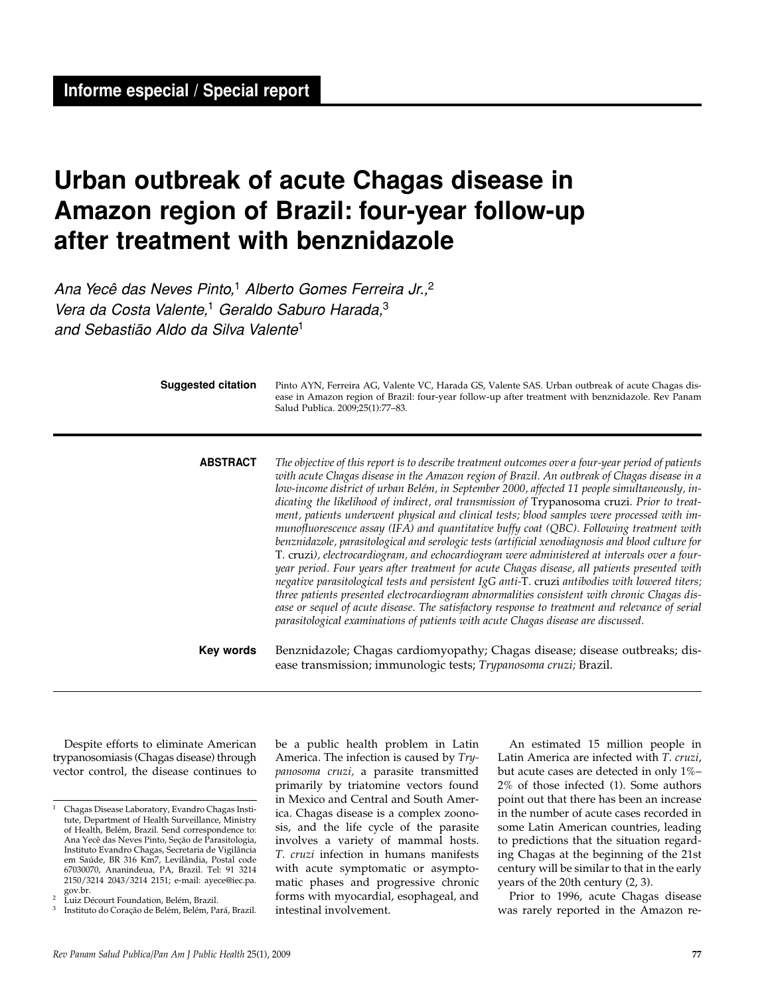**Informe especial / Special report**

# **Urban outbreak of acute Chagas disease in Amazon region of Brazil: four-year follow-up after treatment with benznidazole**

Ana Yecê das Neves Pinto,<sup>1</sup> Alberto Gomes Ferreira Jr.,<sup>2</sup> Vera da Costa Valente,<sup>1</sup> Geraldo Saburo Harada,<sup>3</sup> and Sebastião Aldo da Silva Valente1

| <b>Suggested citation</b> | Pinto AYN, Ferreira AG, Valente VC, Harada GS, Valente SAS. Urban outbreak of acute Chagas dis-<br>ease in Amazon region of Brazil: four-year follow-up after treatment with benznidazole. Rev Panam<br>Salud Publica. 2009;25(1):77-83.                                                                                                                                                                                                                                                                                                                                                                                                                                                                                                                                                                                                                                                                                                                                                                                                                                                                                                                                                                                                                                                        |
|---------------------------|-------------------------------------------------------------------------------------------------------------------------------------------------------------------------------------------------------------------------------------------------------------------------------------------------------------------------------------------------------------------------------------------------------------------------------------------------------------------------------------------------------------------------------------------------------------------------------------------------------------------------------------------------------------------------------------------------------------------------------------------------------------------------------------------------------------------------------------------------------------------------------------------------------------------------------------------------------------------------------------------------------------------------------------------------------------------------------------------------------------------------------------------------------------------------------------------------------------------------------------------------------------------------------------------------|
| <b>ABSTRACT</b>           | The objective of this report is to describe treatment outcomes over a four-year period of patients<br>with acute Chagas disease in the Amazon region of Brazil. An outbreak of Chagas disease in a<br>low-income district of urban Belém, in September 2000, affected 11 people simultaneously, in-<br>dicating the likelihood of indirect, oral transmission of Trypanosoma cruzi. Prior to treat-<br>ment, patients underwent physical and clinical tests; blood samples were processed with im-<br>munofluorescence assay (IFA) and quantitative buffy coat (QBC). Following treatment with<br>benznidazole, parasitological and serologic tests (artificial xenodiagnosis and blood culture for<br>T. cruzi), electrocardiogram, and echocardiogram were administered at intervals over a four-<br>year period. Four years after treatment for acute Chagas disease, all patients presented with<br>negative parasitological tests and persistent IgG anti-T. cruzi antibodies with lowered titers;<br>three patients presented electrocardiogram abnormalities consistent with chronic Chagas dis-<br>ease or sequel of acute disease. The satisfactory response to treatment and relevance of serial<br>parasitological examinations of patients with acute Chagas disease are discussed. |
| Key words                 | Benznidazole; Chagas cardiomyopathy; Chagas disease; disease outbreaks; dis-<br>ease transmission; immunologic tests; Trypanosoma cruzi; Brazil.                                                                                                                                                                                                                                                                                                                                                                                                                                                                                                                                                                                                                                                                                                                                                                                                                                                                                                                                                                                                                                                                                                                                                |

Despite efforts to eliminate American trypanosomiasis (Chagas disease) through vector control, the disease continues to be a public health problem in Latin America. The infection is caused by *Trypanosoma cruzi,* a parasite transmitted primarily by triatomine vectors found in Mexico and Central and South America. Chagas disease is a complex zoonosis, and the life cycle of the parasite involves a variety of mammal hosts. *T. cruzi* infection in humans manifests with acute symptomatic or asymptomatic phases and progressive chronic forms with myocardial, esophageal, and intestinal involvement.

An estimated 15 million people in Latin America are infected with *T. cruzi*, but acute cases are detected in only 1%– 2% of those infected (1). Some authors point out that there has been an increase in the number of acute cases recorded in some Latin American countries, leading to predictions that the situation regarding Chagas at the beginning of the 21st century will be similar to that in the early years of the 20th century (2, 3).

Prior to 1996, acute Chagas disease was rarely reported in the Amazon re-

<sup>1</sup> Chagas Disease Laboratory, Evandro Chagas Institute, Department of Health Surveillance, Ministry of Health, Belém, Brazil. Send correspondence to: Ana Yecê das Neves Pinto, Seção de Parasitologia, Instituto Evandro Chagas, Secretaria de Vigilância em Saúde, BR 316 Km7, Levilândia, Postal code 67030070, Ananindeua, PA, Brazil. Tel: 91 3214 2150/3214 2043/3214 2151; e-mail: ayece@iec.pa. gov.br.

<sup>&</sup>lt;sup>2</sup> Luiz Décourt Foundation, Belém, Brazil. <sup>3</sup> Instituto do Coração de Belém, Belém, Pará, Brazil.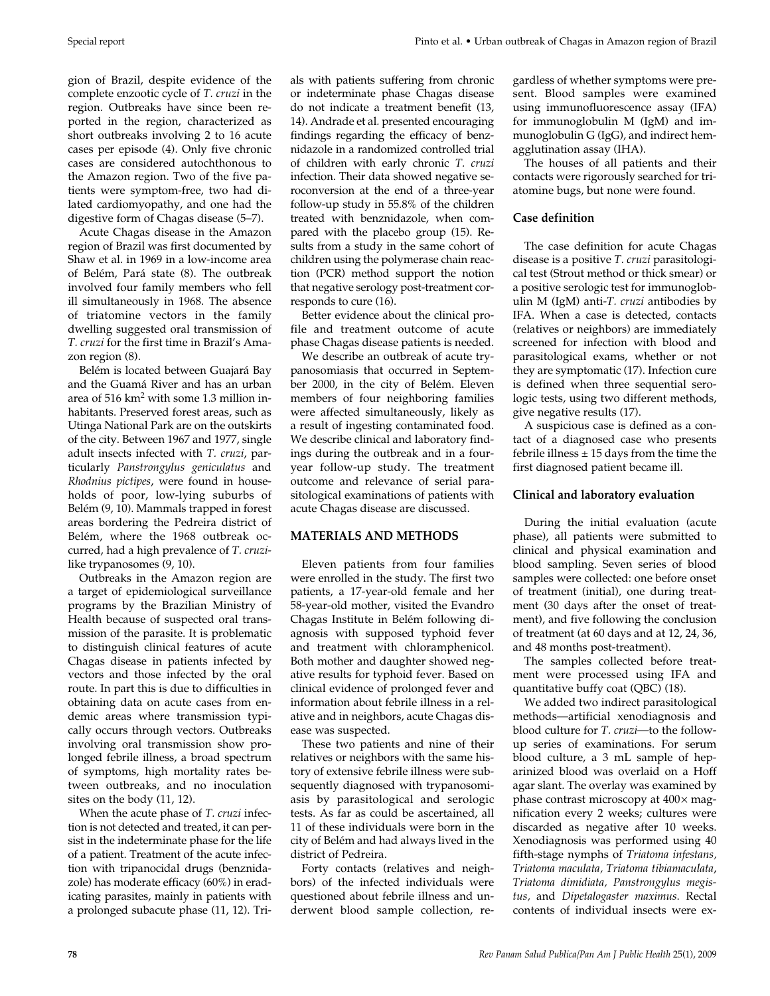gion of Brazil, despite evidence of the complete enzootic cycle of *T. cruzi* in the region*.* Outbreaks have since been reported in the region, characterized as short outbreaks involving 2 to 16 acute cases per episode (4). Only five chronic cases are considered autochthonous to the Amazon region. Two of the five patients were symptom-free, two had dilated cardiomyopathy, and one had the digestive form of Chagas disease (5–7).

Acute Chagas disease in the Amazon region of Brazil was first documented by Shaw et al. in 1969 in a low-income area of Belém, Pará state (8). The outbreak involved four family members who fell ill simultaneously in 1968. The absence of triatomine vectors in the family dwelling suggested oral transmission of *T. cruzi* for the first time in Brazil's Amazon region (8).

Belém is located between Guajará Bay and the Guamá River and has an urban area of 516 km2 with some 1.3 million inhabitants. Preserved forest areas, such as Utinga National Park are on the outskirts of the city. Between 1967 and 1977, single adult insects infected with *T. cruzi*, particularly *Panstrongylus geniculatus* and *Rhodnius pictipes*, were found in households of poor, low-lying suburbs of Belém (9, 10). Mammals trapped in forest areas bordering the Pedreira district of Belém, where the 1968 outbreak occurred, had a high prevalence of *T. cruzi*like trypanosomes (9, 10).

Outbreaks in the Amazon region are a target of epidemiological surveillance programs by the Brazilian Ministry of Health because of suspected oral transmission of the parasite. It is problematic to distinguish clinical features of acute Chagas disease in patients infected by vectors and those infected by the oral route. In part this is due to difficulties in obtaining data on acute cases from endemic areas where transmission typically occurs through vectors. Outbreaks involving oral transmission show prolonged febrile illness, a broad spectrum of symptoms, high mortality rates between outbreaks, and no inoculation sites on the body (11, 12).

When the acute phase of *T. cruzi* infection is not detected and treated, it can persist in the indeterminate phase for the life of a patient. Treatment of the acute infection with tripanocidal drugs (benznidazole) has moderate efficacy (60%) in eradicating parasites, mainly in patients with a prolonged subacute phase (11, 12). Trials with patients suffering from chronic or indeterminate phase Chagas disease do not indicate a treatment benefit (13, 14). Andrade et al*.* presented encouraging findings regarding the efficacy of benznidazole in a randomized controlled trial of children with early chronic *T. cruzi* infection. Their data showed negative seroconversion at the end of a three-year follow-up study in 55.8% of the children treated with benznidazole, when compared with the placebo group (15). Results from a study in the same cohort of children using the polymerase chain reaction (PCR) method support the notion that negative serology post-treatment corresponds to cure (16).

Better evidence about the clinical profile and treatment outcome of acute phase Chagas disease patients is needed.

We describe an outbreak of acute trypanosomiasis that occurred in September 2000, in the city of Belém. Eleven members of four neighboring families were affected simultaneously, likely as a result of ingesting contaminated food. We describe clinical and laboratory findings during the outbreak and in a fouryear follow-up study. The treatment outcome and relevance of serial parasitological examinations of patients with acute Chagas disease are discussed.

## **MATERIALS AND METHODS**

Eleven patients from four families were enrolled in the study. The first two patients, a 17-year-old female and her 58-year-old mother, visited the Evandro Chagas Institute in Belém following diagnosis with supposed typhoid fever and treatment with chloramphenicol. Both mother and daughter showed negative results for typhoid fever. Based on clinical evidence of prolonged fever and information about febrile illness in a relative and in neighbors, acute Chagas disease was suspected.

These two patients and nine of their relatives or neighbors with the same history of extensive febrile illness were subsequently diagnosed with trypanosomiasis by parasitological and serologic tests. As far as could be ascertained, all 11 of these individuals were born in the city of Belém and had always lived in the district of Pedreira.

Forty contacts (relatives and neighbors) of the infected individuals were questioned about febrile illness and underwent blood sample collection, re-

Special report Pinto et al. • Urban outbreak of Chagas in Amazon region of Brazil

gardless of whether symptoms were present. Blood samples were examined using immunofluorescence assay (IFA) for immunoglobulin M (IgM) and immunoglobulin G (IgG), and indirect hemagglutination assay (IHA).

The houses of all patients and their contacts were rigorously searched for triatomine bugs, but none were found.

## **Case definition**

The case definition for acute Chagas disease is a positive *T. cruzi* parasitological test (Strout method or thick smear) or a positive serologic test for immunoglobulin M (IgM) anti-*T. cruzi* antibodies by IFA. When a case is detected, contacts (relatives or neighbors) are immediately screened for infection with blood and parasitological exams, whether or not they are symptomatic (17). Infection cure is defined when three sequential serologic tests, using two different methods, give negative results (17).

A suspicious case is defined as a contact of a diagnosed case who presents febrile illness  $\pm$  15 days from the time the first diagnosed patient became ill.

## **Clinical and laboratory evaluation**

During the initial evaluation (acute phase), all patients were submitted to clinical and physical examination and blood sampling. Seven series of blood samples were collected: one before onset of treatment (initial), one during treatment (30 days after the onset of treatment), and five following the conclusion of treatment (at 60 days and at 12, 24, 36, and 48 months post-treatment).

The samples collected before treatment were processed using IFA and quantitative buffy coat (QBC) (18).

We added two indirect parasitological methods—artificial xenodiagnosis and blood culture for *T. cruzi—*to the followup series of examinations. For serum blood culture, a 3 mL sample of heparinized blood was overlaid on a Hoff agar slant. The overlay was examined by phase contrast microscopy at 400× magnification every 2 weeks; cultures were discarded as negative after 10 weeks. Xenodiagnosis was performed using 40 fifth-stage nymphs of *Triatoma infestans, Triatoma maculata, Triatoma tibiamaculata*, *Triatoma dimidiata, Panstrongylus megistus,* and *Dipetalogaster maximus*. Rectal contents of individual insects were ex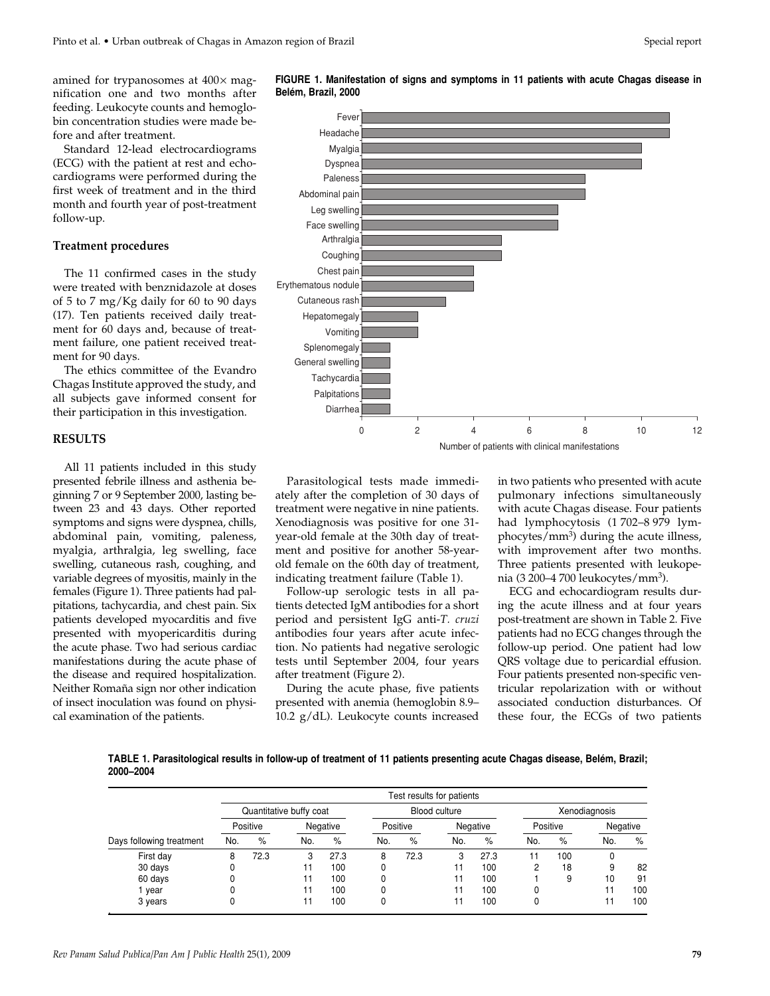amined for trypanosomes at  $400\times$  magnification one and two months after feeding. Leukocyte counts and hemoglobin concentration studies were made before and after treatment.

Standard 12-lead electrocardiograms (ECG) with the patient at rest and echocardiograms were performed during the first week of treatment and in the third month and fourth year of post-treatment follow-up.

#### **Treatment procedures**

The 11 confirmed cases in the study were treated with benznidazole at doses of 5 to 7 mg/Kg daily for 60 to 90 days (17). Ten patients received daily treatment for 60 days and, because of treatment failure, one patient received treatment for 90 days.

The ethics committee of the Evandro Chagas Institute approved the study, and all subjects gave informed consent for their participation in this investigation.

### **RESULTS**

All 11 patients included in this study presented febrile illness and asthenia beginning 7 or 9 September 2000, lasting between 23 and 43 days. Other reported symptoms and signs were dyspnea, chills, abdominal pain, vomiting, paleness, myalgia, arthralgia, leg swelling, face swelling, cutaneous rash, coughing, and variable degrees of myositis, mainly in the females (Figure 1). Three patients had palpitations, tachycardia, and chest pain. Six patients developed myocarditis and five presented with myopericarditis during the acute phase. Two had serious cardiac manifestations during the acute phase of the disease and required hospitalization. Neither Romaña sign nor other indication of insect inoculation was found on physical examination of the patients.



**FIGURE 1. Manifestation of signs and symptoms in 11 patients with acute Chagas disease in**

Parasitological tests made immediately after the completion of 30 days of treatment were negative in nine patients. Xenodiagnosis was positive for one 31 year-old female at the 30th day of treatment and positive for another 58-yearold female on the 60th day of treatment, indicating treatment failure (Table 1).

Follow-up serologic tests in all patients detected IgM antibodies for a short period and persistent IgG anti-*T. cruzi* antibodies four years after acute infection. No patients had negative serologic tests until September 2004, four years after treatment (Figure 2).

During the acute phase, five patients presented with anemia (hemoglobin 8.9– 10.2  $g/dL$ ). Leukocyte counts increased in two patients who presented with acute pulmonary infections simultaneously with acute Chagas disease. Four patients had lymphocytosis (1 702–8 979 lymphocytes/ $mm<sup>3</sup>$ ) during the acute illness, with improvement after two months. Three patients presented with leukopenia (3 200–4 700 leukocytes/mm3).

ECG and echocardiogram results during the acute illness and at four years post-treatment are shown in Table 2. Five patients had no ECG changes through the follow-up period. One patient had low QRS voltage due to pericardial effusion. Four patients presented non-specific ventricular repolarization with or without associated conduction disturbances. Of these four, the ECGs of two patients

**TABLE 1. Parasitological results in follow-up of treatment of 11 patients presenting acute Chagas disease, Belém, Brazil; 2000–2004**

|                          | Test results for patients |          |     |               |     |          |     |               |     |          |     |          |
|--------------------------|---------------------------|----------|-----|---------------|-----|----------|-----|---------------|-----|----------|-----|----------|
|                          | Quantitative buffy coat   |          |     | Blood culture |     |          |     | Xenodiagnosis |     |          |     |          |
|                          |                           | Positive |     | Negative      |     | Positive |     | Negative      |     | Positive |     | Negative |
| Days following treatment | No.                       | $\%$     | No. | %             | No. | %        | No. | %             | No. | %        | No. | %        |
| First day                | 8                         | 72.3     | 3   | 27.3          | 8   | 72.3     | 3   | 27.3          | 11  | 100      | 0   |          |
| 30 days                  |                           |          |     | 100           |     |          |     | 100           | 2   | 18       | 9   | 82       |
| 60 days                  |                           |          | 11  | 100           |     |          |     | 100           |     | 9        | 10  | 91       |
| year                     |                           |          | 11  | 100           |     |          |     | 100           | 0   |          | 11  | 100      |
| 3 years                  |                           |          |     | 100           |     |          |     | 100           | 0   |          | 11  | 100      |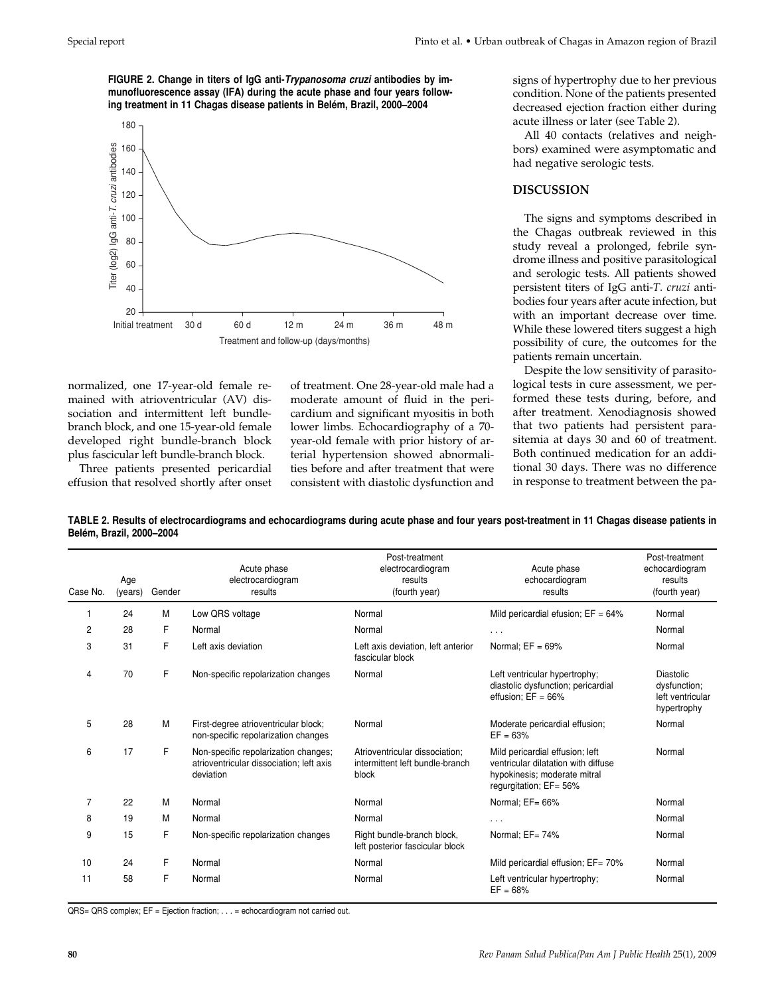**FIGURE 2. Change in titers of IgG anti-Trypanosoma cruzi antibodies by immunofluorescence assay (IFA) during the acute phase and four years following treatment in 11 Chagas disease patients in Belém, Brazil, 2000–2004**



normalized, one 17-year-old female remained with atrioventricular (AV) dissociation and intermittent left bundlebranch block, and one 15-year-old female developed right bundle-branch block plus fascicular left bundle-branch block.

Three patients presented pericardial effusion that resolved shortly after onset of treatment. One 28-year-old male had a moderate amount of fluid in the pericardium and significant myositis in both lower limbs. Echocardiography of a 70 year-old female with prior history of arterial hypertension showed abnormalities before and after treatment that were consistent with diastolic dysfunction and signs of hypertrophy due to her previous condition. None of the patients presented decreased ejection fraction either during acute illness or later (see Table 2).

All 40 contacts (relatives and neighbors) examined were asymptomatic and had negative serologic tests.

#### **DISCUSSION**

The signs and symptoms described in the Chagas outbreak reviewed in this study reveal a prolonged, febrile syndrome illness and positive parasitological and serologic tests. All patients showed persistent titers of IgG anti-*T. cruzi* antibodies four years after acute infection, but with an important decrease over time. While these lowered titers suggest a high possibility of cure, the outcomes for the patients remain uncertain.

Despite the low sensitivity of parasitological tests in cure assessment, we performed these tests during, before, and after treatment. Xenodiagnosis showed that two patients had persistent parasitemia at days 30 and 60 of treatment. Both continued medication for an additional 30 days. There was no difference in response to treatment between the pa-

**TABLE 2. Results of electrocardiograms and echocardiograms during acute phase and four years post-treatment in 11 Chagas disease patients in Belém, Brazil, 2000–2004** 

| Case No. | Age<br>(years) | Gender | Acute phase<br>electrocardiogram<br>results                                                   | Post-treatment<br>electrocardiogram<br>results<br>(fourth year)            | Acute phase<br>echocardiogram<br>results                                                                                         | Post-treatment<br>echocardiogram<br>results<br>(fourth year) |
|----------|----------------|--------|-----------------------------------------------------------------------------------------------|----------------------------------------------------------------------------|----------------------------------------------------------------------------------------------------------------------------------|--------------------------------------------------------------|
| 1        | 24             | М      | Low QRS voltage                                                                               | Normal                                                                     | Mild pericardial efusion; $EF = 64\%$                                                                                            | Normal                                                       |
| 2        | 28             | F      | Normal                                                                                        | Normal                                                                     | $\cdots$                                                                                                                         | Normal                                                       |
| 3        | 31             | F      | Left axis deviation                                                                           | Left axis deviation, left anterior<br>fascicular block                     | Normal; $EF = 69\%$                                                                                                              | Normal                                                       |
| 4        | 70             | F.     | Non-specific repolarization changes                                                           | Normal                                                                     | Left ventricular hypertrophy;<br>diastolic dysfunction; pericardial<br>effusion; $EF = 66%$                                      | Diastolic<br>dysfunction;<br>left ventricular<br>hypertrophy |
| 5        | 28             | M      | First-degree atrioventricular block;<br>non-specific repolarization changes                   | Normal                                                                     | Moderate pericardial effusion;<br>$EF = 63%$                                                                                     | Normal                                                       |
| 6        | 17             | F      | Non-specific repolarization changes;<br>atrioventricular dissociation; left axis<br>deviation | Atrioventricular dissociation;<br>intermittent left bundle-branch<br>block | Mild pericardial effusion; left<br>ventricular dilatation with diffuse<br>hypokinesis; moderate mitral<br>regurgitation; EF= 56% | Normal                                                       |
| 7        | 22             | M      | Normal                                                                                        | Normal                                                                     | Normal; EF= 66%                                                                                                                  | Normal                                                       |
| 8        | 19             | M      | Normal                                                                                        | Normal                                                                     | $\cdots$                                                                                                                         | Normal                                                       |
| 9        | 15             | F      | Non-specific repolarization changes                                                           | Right bundle-branch block,<br>left posterior fascicular block              | Normal; EF= 74%                                                                                                                  | Normal                                                       |
| 10       | 24             | F      | Normal                                                                                        | Normal                                                                     | Mild pericardial effusion; EF= 70%                                                                                               | Normal                                                       |
| 11       | 58             | F      | Normal                                                                                        | Normal                                                                     | Left ventricular hypertrophy;<br>$EF = 68%$                                                                                      | Normal                                                       |

QRS= QRS complex; EF = Ejection fraction; . . . = echocardiogram not carried out.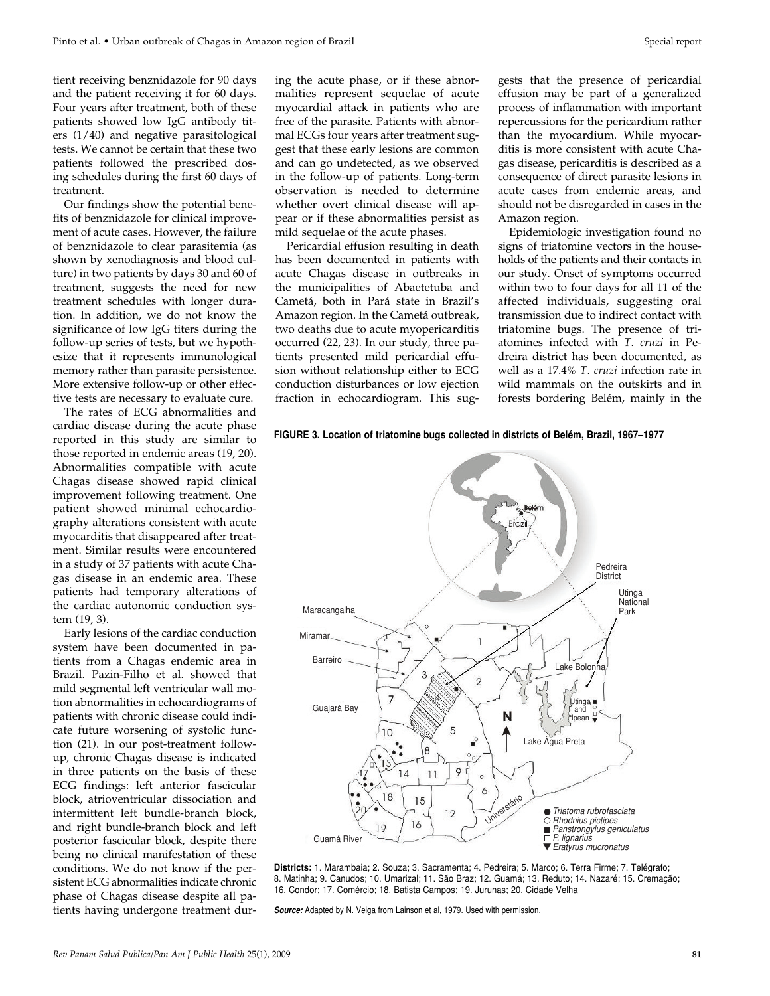tient receiving benznidazole for 90 days and the patient receiving it for 60 days. Four years after treatment, both of these patients showed low IgG antibody titers (1/40) and negative parasitological tests. We cannot be certain that these two patients followed the prescribed dosing schedules during the first 60 days of treatment.

Our findings show the potential benefits of benznidazole for clinical improvement of acute cases. However, the failure of benznidazole to clear parasitemia (as shown by xenodiagnosis and blood culture) in two patients by days 30 and 60 of treatment, suggests the need for new treatment schedules with longer duration. In addition, we do not know the significance of low IgG titers during the follow-up series of tests, but we hypothesize that it represents immunological memory rather than parasite persistence. More extensive follow-up or other effective tests are necessary to evaluate cure.

The rates of ECG abnormalities and cardiac disease during the acute phase reported in this study are similar to those reported in endemic areas (19, 20). Abnormalities compatible with acute Chagas disease showed rapid clinical improvement following treatment. One patient showed minimal echocardiography alterations consistent with acute myocarditis that disappeared after treatment. Similar results were encountered in a study of 37 patients with acute Chagas disease in an endemic area. These patients had temporary alterations of the cardiac autonomic conduction system (19, 3).

Early lesions of the cardiac conduction system have been documented in patients from a Chagas endemic area in Brazil. Pazin-Filho et al. showed that mild segmental left ventricular wall motion abnormalities in echocardiograms of patients with chronic disease could indicate future worsening of systolic function (21). In our post-treatment followup, chronic Chagas disease is indicated in three patients on the basis of these ECG findings: left anterior fascicular block, atrioventricular dissociation and intermittent left bundle-branch block, and right bundle-branch block and left posterior fascicular block, despite there being no clinical manifestation of these conditions. We do not know if the persistent ECG abnormalities indicate chronic phase of Chagas disease despite all patients having undergone treatment during the acute phase, or if these abnormalities represent sequelae of acute myocardial attack in patients who are free of the parasite. Patients with abnormal ECGs four years after treatment suggest that these early lesions are common and can go undetected, as we observed in the follow-up of patients. Long-term observation is needed to determine whether overt clinical disease will appear or if these abnormalities persist as mild sequelae of the acute phases.

Pericardial effusion resulting in death has been documented in patients with acute Chagas disease in outbreaks in the municipalities of Abaetetuba and Cametá, both in Pará state in Brazil's Amazon region. In the Cametá outbreak, two deaths due to acute myopericarditis occurred (22, 23). In our study, three patients presented mild pericardial effusion without relationship either to ECG conduction disturbances or low ejection fraction in echocardiogram. This suggests that the presence of pericardial effusion may be part of a generalized process of inflammation with important repercussions for the pericardium rather than the myocardium. While myocarditis is more consistent with acute Chagas disease, pericarditis is described as a consequence of direct parasite lesions in acute cases from endemic areas, and should not be disregarded in cases in the Amazon region.

Epidemiologic investigation found no signs of triatomine vectors in the households of the patients and their contacts in our study. Onset of symptoms occurred within two to four days for all 11 of the affected individuals, suggesting oral transmission due to indirect contact with triatomine bugs. The presence of triatomines infected with *T. cruzi* in Pedreira district has been documented, as well as a 17.4% *T. cruzi* infection rate in wild mammals on the outskirts and in forests bordering Belém, mainly in the

#### **FIGURE 3. Location of triatomine bugs collected in districts of Belém, Brazil, 1967–1977**



**Districts:** 1. Marambaia; 2. Souza; 3. Sacramenta; 4. Pedreira; 5. Marco; 6. Terra Firme; 7. Telégrafo; 8. Matinha; 9. Canudos; 10. Umarizal; 11. São Braz; 12. Guamá; 13. Reduto; 14. Nazaré; 15. Cremação; 16. Condor; 17. Comércio; 18. Batista Campos; 19. Jurunas; 20. Cidade Velha

**Source:** Adapted by N. Veiga from Lainson et al, 1979. Used with permission.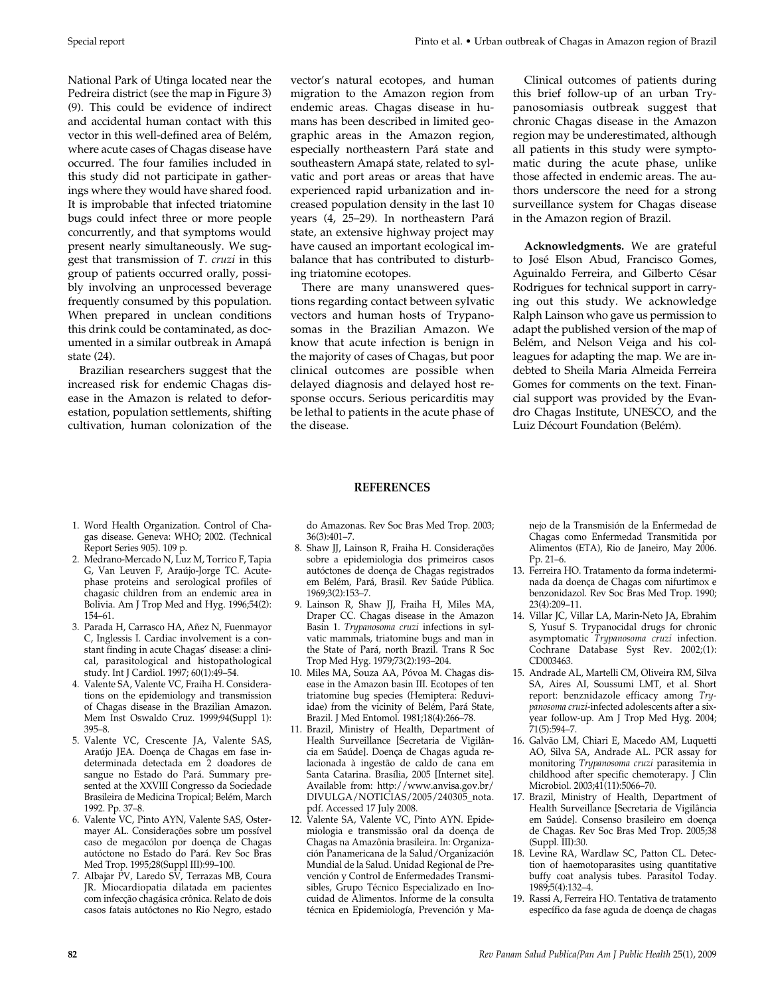National Park of Utinga located near the Pedreira district (see the map in Figure 3) (9). This could be evidence of indirect and accidental human contact with this vector in this well-defined area of Belém, where acute cases of Chagas disease have occurred. The four families included in this study did not participate in gatherings where they would have shared food. It is improbable that infected triatomine bugs could infect three or more people concurrently, and that symptoms would present nearly simultaneously. We suggest that transmission of *T. cruzi* in this group of patients occurred orally, possibly involving an unprocessed beverage frequently consumed by this population. When prepared in unclean conditions this drink could be contaminated, as documented in a similar outbreak in Amapá state (24).

Brazilian researchers suggest that the increased risk for endemic Chagas disease in the Amazon is related to deforestation, population settlements, shifting cultivation, human colonization of the

vector's natural ecotopes, and human migration to the Amazon region from endemic areas. Chagas disease in humans has been described in limited geographic areas in the Amazon region, especially northeastern Pará state and southeastern Amapá state, related to sylvatic and port areas or areas that have experienced rapid urbanization and increased population density in the last 10 years (4, 25–29). In northeastern Pará state, an extensive highway project may have caused an important ecological imbalance that has contributed to disturbing triatomine ecotopes.

There are many unanswered questions regarding contact between sylvatic vectors and human hosts of Trypanosomas in the Brazilian Amazon. We know that acute infection is benign in the majority of cases of Chagas, but poor clinical outcomes are possible when delayed diagnosis and delayed host response occurs. Serious pericarditis may be lethal to patients in the acute phase of the disease.

Clinical outcomes of patients during this brief follow-up of an urban Trypanosomiasis outbreak suggest that chronic Chagas disease in the Amazon region may be underestimated, although all patients in this study were symptomatic during the acute phase, unlike those affected in endemic areas. The authors underscore the need for a strong surveillance system for Chagas disease in the Amazon region of Brazil.

**Acknowledgments.** We are grateful to José Elson Abud, Francisco Gomes, Aguinaldo Ferreira, and Gilberto César Rodrigues for technical support in carrying out this study. We acknowledge Ralph Lainson who gave us permission to adapt the published version of the map of Belém, and Nelson Veiga and his colleagues for adapting the map. We are indebted to Sheila Maria Almeida Ferreira Gomes for comments on the text. Financial support was provided by the Evandro Chagas Institute, UNESCO, and the Luiz Décourt Foundation (Belém).

- 1. Word Health Organization. Control of Chagas disease. Geneva: WHO; 2002. (Technical Report Series 905). 109 p.
- 2. Medrano-Mercado N, Luz M, Torrico F, Tapia G, Van Leuven F, Araújo-Jorge TC. Acutephase proteins and serological profiles of chagasic children from an endemic area in Bolivia. Am J Trop Med and Hyg. 1996;54(2): 154–61.
- 3. Parada H, Carrasco HA, Añez N, Fuenmayor C, Inglessis I. Cardiac involvement is a constant finding in acute Chagas' disease: a clinical, parasitological and histopathological study. Int J Cardiol. 1997; 60(1):49–54.
- 4. Valente SA, Valente VC, Fraiha H. Considerations on the epidemiology and transmission of Chagas disease in the Brazilian Amazon. Mem Inst Oswaldo Cruz. 1999;94(Suppl 1): 395–8.
- 5. Valente VC, Crescente JA, Valente SAS, Araújo JEA. Doença de Chagas em fase indeterminada detectada em 2 doadores de sangue no Estado do Pará. Summary presented at the XXVIII Congresso da Sociedade Brasileira de Medicina Tropical; Belém, March 1992. Pp. 37–8.
- 6. Valente VC, Pinto AYN, Valente SAS, Ostermayer AL. Considerações sobre um possível caso de megacólon por doença de Chagas autóctone no Estado do Pará. Rev Soc Bras Med Trop. 1995;28(Suppl III):99–100.
- 7. Albajar PV, Laredo SV, Terrazas MB, Coura JR. Miocardiopatia dilatada em pacientes com infecção chagásica crônica. Relato de dois casos fatais autóctones no Rio Negro, estado

do Amazonas. Rev Soc Bras Med Trop. 2003; 36(3):401–7.

**REFERENCES**

- 8. Shaw JJ, Lainson R, Fraiha H. Considerações sobre a epidemiologia dos primeiros casos autóctones de doença de Chagas registrados em Belém, Pará, Brasil. Rev Saúde Pública. 1969;3(2):153–7.
- 9. Lainson R, Shaw JJ, Fraiha H, Miles MA, Draper CC. Chagas disease in the Amazon Basin 1. *Trypanosoma cruzi* infections in sylvatic mammals, triatomine bugs and man in the State of Pará, north Brazil. Trans R Soc Trop Med Hyg. 1979;73(2):193–204.
- 10. Miles MA, Souza AA, Póvoa M. Chagas disease in the Amazon basin III. Ecotopes of ten triatomine bug species (Hemiptera: Reduviidae) from the vicinity of Belém, Pará State, Brazil. J Med Entomol. 1981;18(4):266–78.
- 11. Brazil, Ministry of Health, Department of Health Surveillance [Secretaria de Vigilância em Saúde]. Doença de Chagas aguda relacionada à ingestão de caldo de cana em Santa Catarina. Brasília, 2005 [Internet site]. Available from: http://www.anvisa.gov.br/ DIVULGA/NOTICIAS/2005/240305\_nota. pdf. Accessed 17 July 2008.
- 12. Valente SA, Valente VC, Pinto AYN. Epidemiologia e transmissão oral da doença de Chagas na Amazônia brasileira. In: Organización Panamericana de la Salud/Organización Mundial de la Salud. Unidad Regional de Prevención y Control de Enfermedades Transmisibles, Grupo Técnico Especializado en Inocuidad de Alimentos. Informe de la consulta técnica en Epidemiología, Prevención y Ma-

nejo de la Transmisión de la Enfermedad de Chagas como Enfermedad Transmitida por Alimentos (ETA), Rio de Janeiro, May 2006. Pp. 21–6.

- 13. Ferreira HO. Tratamento da forma indeterminada da doença de Chagas com nifurtimox e benzonidazol. Rev Soc Bras Med Trop. 1990; 23(4):209–11.
- 14. Villar JC, Villar LA, Marin-Neto JA, Ebrahim S, Yusuf S. Trypanocidal drugs for chronic asymptomatic *Trypanosoma cruzi* infection. Cochrane Database Syst Rev. 2002;(1): CD003463.
- 15. Andrade AL, Martelli CM, Oliveira RM, Silva SA, Aires AI, Soussumi LMT, et al*.* Short report: benznidazole efficacy among *Trypanosoma cruzi-*infected adolescents after a sixyear follow-up. Am J Trop Med Hyg. 2004; 71(5):594–7.
- 16. Galvão LM, Chiari E, Macedo AM, Luquetti AO, Silva SA, Andrade AL. PCR assay for monitoring *Trypanosoma cruzi* parasitemia in childhood after specific chemoterapy. J Clin Microbiol. 2003;41(11):5066–70.
- 17. Brazil, Ministry of Health, Department of Health Surveillance [Secretaria de Vigilância em Saúde]. Consenso brasileiro em doença de Chagas. Rev Soc Bras Med Trop. 2005;38 (Suppl. III):30.
- 18. Levine RA, Wardlaw SC, Patton CL. Detection of haemotoparasites using quantitative buffy coat analysis tubes. Parasitol Today. 1989;5(4):132–4.
- 19. Rassi A, Ferreira HO. Tentativa de tratamento específico da fase aguda de doença de chagas